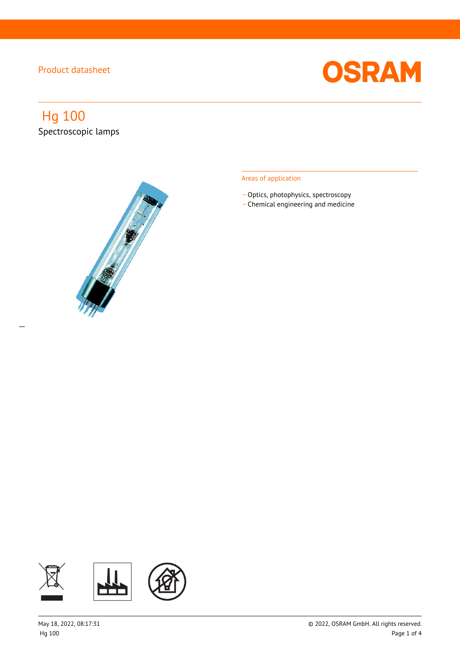

# Hg 100 Spectroscopic lamps

 $\overline{a}$ 



### Areas of application

- Optics, photophysics, spectroscopy
- \_ Chemical engineering and medicine

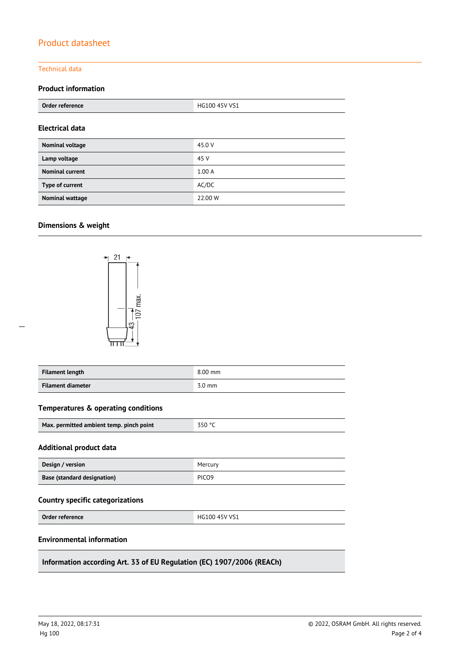### Technical data

### **Product information**

| Order reference        | HG100 45V VS1 |  |
|------------------------|---------------|--|
| Electrical data        |               |  |
| <b>Nominal voltage</b> | 45.0 V        |  |
| Lamp voltage           | 45 V          |  |
| <b>Nominal current</b> | 1.00A         |  |
| Type of current        | AC/DC         |  |
| <b>Nominal wattage</b> | 22.00 W       |  |

### **Dimensions & weight**



| <b>Filament length</b> | $8.00$ mm        |
|------------------------|------------------|
| Filament diameter      | $3.0 \text{ mm}$ |

### **Temperatures & operating conditions**

| Max. permitted ambient temp. pinch point | 350 °C |
|------------------------------------------|--------|
|------------------------------------------|--------|

#### **Additional product data**

| Design / version                   | Mercury           |
|------------------------------------|-------------------|
| <b>Base (standard designation)</b> | PICO <sub>9</sub> |

# **Country specific categorizations**

**Order reference** HG100 45V VS1

#### **Environmental information**

**Information according Art. 33 of EU Regulation (EC) 1907/2006 (REACh)**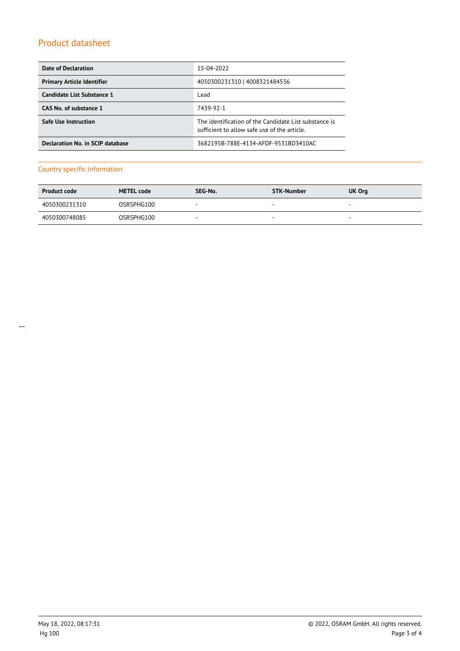| Date of Declaration               | 15-04-2022                                                                                            |  |  |
|-----------------------------------|-------------------------------------------------------------------------------------------------------|--|--|
| <b>Primary Article Identifier</b> | 4050300231310   4008321484536                                                                         |  |  |
| Candidate List Substance 1        | Lead                                                                                                  |  |  |
| CAS No. of substance 1            | 7439-92-1                                                                                             |  |  |
| <b>Safe Use Instruction</b>       | The identification of the Candidate List substance is<br>sufficient to allow safe use of the article. |  |  |
| Declaration No. in SCIP database  | 3682195B-788E-4134-AFDF-9531BD3410AC                                                                  |  |  |

# Country specific information

| <b>Product code</b> | <b>METEL code</b> | SEG-No. | STK-Number | <b>UK Org</b>            |
|---------------------|-------------------|---------|------------|--------------------------|
| 4050300231310       | OSRSPHG100        | -       | $\sim$     | $\overline{\phantom{a}}$ |
| 4050300748085       | OSRSPHG100        | $\sim$  |            | $\sim$                   |